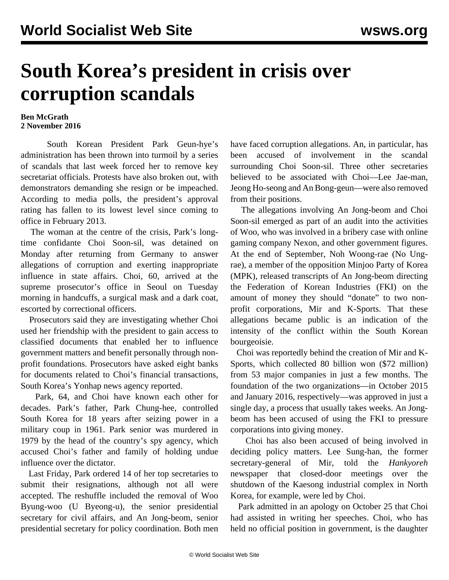## **South Korea's president in crisis over corruption scandals**

## **Ben McGrath 2 November 2016**

 South Korean President Park Geun-hye's administration has been thrown into turmoil by a series of scandals that last week forced her to remove key secretariat officials. Protests have also broken out, with demonstrators demanding she resign or be impeached. According to media polls, the president's approval rating has fallen to its lowest level since coming to office in February 2013.

 The woman at the centre of the crisis, Park's longtime confidante Choi Soon-sil, was detained on Monday after returning from Germany to answer allegations of corruption and exerting inappropriate influence in state affairs. Choi, 60, arrived at the supreme prosecutor's office in Seoul on Tuesday morning in handcuffs, a surgical mask and a dark coat, escorted by correctional officers.

 Prosecutors said they are investigating whether Choi used her friendship with the president to gain access to classified documents that enabled her to influence government matters and benefit personally through nonprofit foundations. Prosecutors have asked eight banks for documents related to Choi's financial transactions, South Korea's Yonhap news agency reported.

 Park, 64, and Choi have known each other for decades. Park's father, Park Chung-hee, controlled South Korea for 18 years after seizing power in a military coup in 1961. Park senior was murdered in 1979 by the head of the country's spy agency, which accused Choi's father and family of holding undue influence over the dictator.

 Last Friday, Park ordered 14 of her top secretaries to submit their resignations, although not all were accepted. The reshuffle included the removal of Woo Byung-woo (U Byeong-u), the senior presidential secretary for civil affairs, and An Jong-beom, senior presidential secretary for policy coordination. Both men have faced corruption allegations. An, in particular, has been accused of involvement in the scandal surrounding Choi Soon-sil. Three other secretaries believed to be associated with Choi—Lee Jae-man, Jeong Ho-seong and An Bong-geun—were also removed from their positions.

 The allegations involving An Jong-beom and Choi Soon-sil emerged as part of an audit into the activities of Woo, who was involved in a bribery case with online gaming company Nexon, and other government figures. At the end of September, Noh Woong-rae (No Ungrae), a member of the opposition Minjoo Party of Korea (MPK), released transcripts of An Jong-beom directing the Federation of Korean Industries (FKI) on the amount of money they should "donate" to two nonprofit corporations, Mir and K-Sports. That these allegations became public is an indication of the intensity of the conflict within the South Korean bourgeoisie.

 Choi was reportedly behind the creation of Mir and K-Sports, which collected 80 billion won (\$72 million) from 53 major companies in just a few months. The foundation of the two organizations—in October 2015 and January 2016, respectively—was approved in just a single day, a process that usually takes weeks. An Jongbeom has been accused of using the FKI to pressure corporations into giving money.

 Choi has also been accused of being involved in deciding policy matters. Lee Sung-han, the former secretary-general of Mir, told the *Hankyoreh* newspaper that closed-door meetings over the shutdown of the Kaesong industrial complex in North Korea, for example, were led by Choi.

 Park admitted in an apology on October 25 that Choi had assisted in writing her speeches. Choi, who has held no official position in government, is the daughter